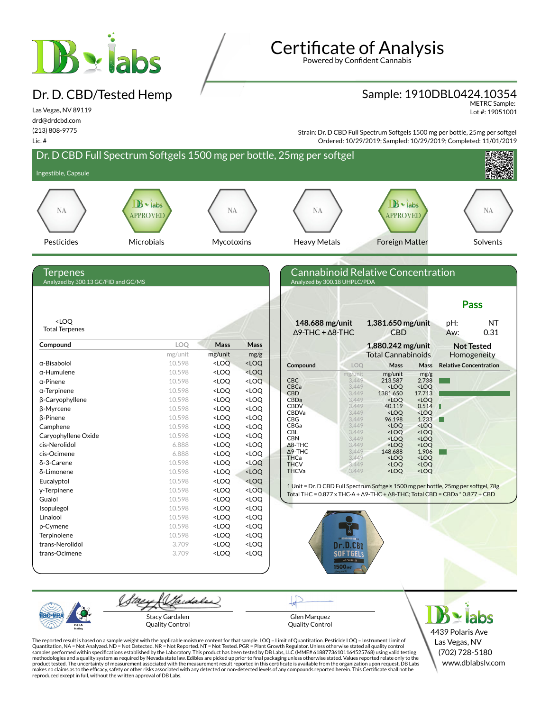

## Dr. D. CBD/Tested Hemp

Las Vegas, NV 89119 drd@drdcbd.com (213) 808-9775 Lic. #

# Certificate of Analysis

Powered by Confident Cannabis

### Sample: 1910DBL0424.10354

METRC Sample: Lot #: 19051001

Strain: Dr. D CBD Full Spectrum Softgels 1500 mg per bottle, 25mg per softgel Ordered: 10/29/2019; Sampled: 10/29/2019; Completed: 11/01/2019



Stacy Gardalen Quality Control

Glen Marquez Quality Control

**x** labs 4439 Polaris Ave Las Vegas, NV (702) 728-5180 www.dblabslv.com

The reported result is based on a sample weight with the applicable moisture content for that sample. LOQ = Limit of Quantitation. Pesticide LOQ = Instrument Limit of Quantitation, NA = Not Analyzed. ND = Not Detected. NR = Not Reported. NT = Not Tested. PGR = Plant Growth Regulator. Unless otherwise stated all quality control<br>samples performed within specifications established by the L methodologies and a quality system as required by Nevada state law. Edibles are picked up prior to final packaging unless otherwise stated. Values reported relate only to the<br>product tested. The uncertainty of measurement .<br>makes no claims as to the efficacy, safety or other risks associated with any detected or non-detected levels of any compounds reported herein. This Certificate shall not be reproduced except in full, without the written approval of DB Labs.